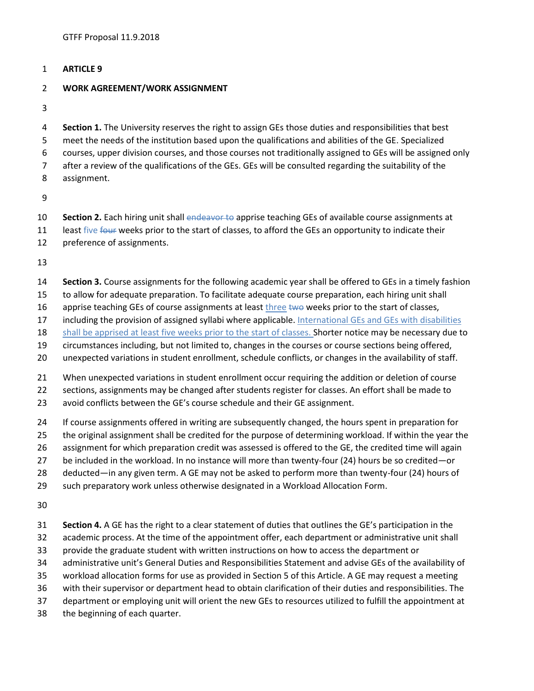## **ARTICLE 9**

## **WORK AGREEMENT/WORK ASSIGNMENT**

 **Section 1.** The University reserves the right to assign GEs those duties and responsibilities that best meet the needs of the institution based upon the qualifications and abilities of the GE. Specialized courses, upper division courses, and those courses not traditionally assigned to GEs will be assigned only after a review of the qualifications of the GEs. GEs will be consulted regarding the suitability of the assignment.

- **Section 2.** Each hiring unit shall endeavor to apprise teaching GEs of available course assignments at
- 11 least five four weeks prior to the start of classes, to afford the GEs an opportunity to indicate their
- preference of assignments.

- **Section 3.** Course assignments for the following academic year shall be offered to GEs in a timely fashion
- to allow for adequate preparation. To facilitate adequate course preparation, each hiring unit shall
- 16 apprise teaching GEs of course assignments at least three two weeks prior to the start of classes,
- 17 including the provision of assigned syllabi where applicable. International GEs and GEs with disabilities
- 18 shall be apprised at least five weeks prior to the start of classes. Shorter notice may be necessary due to
- circumstances including, but not limited to, changes in the courses or course sections being offered,
- unexpected variations in student enrollment, schedule conflicts, or changes in the availability of staff.
- When unexpected variations in student enrollment occur requiring the addition or deletion of course
- sections, assignments may be changed after students register for classes. An effort shall be made to
- avoid conflicts between the GE's course schedule and their GE assignment.
- If course assignments offered in writing are subsequently changed, the hours spent in preparation for
- the original assignment shall be credited for the purpose of determining workload. If within the year the
- assignment for which preparation credit was assessed is offered to the GE, the credited time will again
- be included in the workload. In no instance will more than twenty-four (24) hours be so credited—or
- deducted—in any given term. A GE may not be asked to perform more than twenty-four (24) hours of
- such preparatory work unless otherwise designated in a Workload Allocation Form.

- **Section 4.** A GE has the right to a clear statement of duties that outlines the GE's participation in the
- academic process. At the time of the appointment offer, each department or administrative unit shall
- provide the graduate student with written instructions on how to access the department or
- administrative unit's General Duties and Responsibilities Statement and advise GEs of the availability of
- workload allocation forms for use as provided in Section 5 of this Article. A GE may request a meeting
- with their supervisor or department head to obtain clarification of their duties and responsibilities. The
- department or employing unit will orient the new GEs to resources utilized to fulfill the appointment at
- the beginning of each quarter.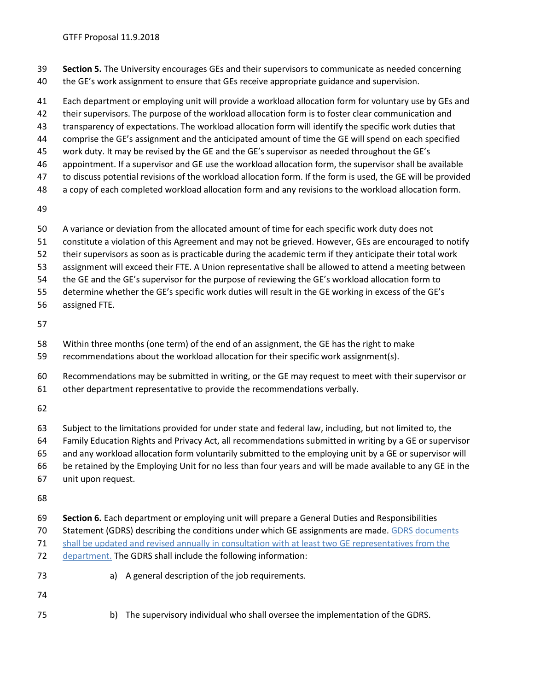- **Section 5.** The University encourages GEs and their supervisors to communicate as needed concerning
- the GE's work assignment to ensure that GEs receive appropriate guidance and supervision.
- Each department or employing unit will provide a workload allocation form for voluntary use by GEs and
- their supervisors. The purpose of the workload allocation form is to foster clear communication and
- transparency of expectations. The workload allocation form will identify the specific work duties that
- comprise the GE's assignment and the anticipated amount of time the GE will spend on each specified
- work duty. It may be revised by the GE and the GE's supervisor as needed throughout the GE's
- appointment. If a supervisor and GE use the workload allocation form, the supervisor shall be available
- to discuss potential revisions of the workload allocation form. If the form is used, the GE will be provided
- a copy of each completed workload allocation form and any revisions to the workload allocation form.
- 
- A variance or deviation from the allocated amount of time for each specific work duty does not
- constitute a violation of this Agreement and may not be grieved. However, GEs are encouraged to notify
- their supervisors as soon as is practicable during the academic term if they anticipate their total work
- assignment will exceed their FTE. A Union representative shall be allowed to attend a meeting between
- the GE and the GE's supervisor for the purpose of reviewing the GE's workload allocation form to
- determine whether the GE's specific work duties will result in the GE working in excess of the GE's
- assigned FTE.
- 
- Within three months (one term) of the end of an assignment, the GE has the right to make
- recommendations about the workload allocation for their specific work assignment(s).
- Recommendations may be submitted in writing, or the GE may request to meet with their supervisor or
- other department representative to provide the recommendations verbally.
- 
- Subject to the limitations provided for under state and federal law, including, but not limited to, the
- Family Education Rights and Privacy Act, all recommendations submitted in writing by a GE or supervisor
- and any workload allocation form voluntarily submitted to the employing unit by a GE or supervisor will
- be retained by the Employing Unit for no less than four years and will be made available to any GE in the
- unit upon request.
- 
- **Section 6.** Each department or employing unit will prepare a General Duties and Responsibilities
- 70 Statement (GDRS) describing the conditions under which GE assignments are made. GDRS documents
- shall be updated and revised annually in consultation with at least two GE representatives from the
- department. The GDRS shall include the following information:
- a) A general description of the job requirements.
- 
- b) The supervisory individual who shall oversee the implementation of the GDRS.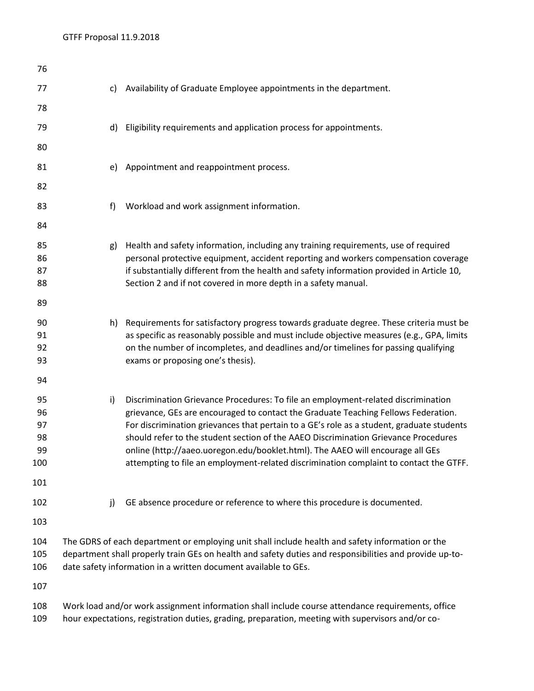| 76                                       |                                                                                                                                                                                                                                                                                |    |                                                                                                                                                                                                                                                                                                                                                                                                                                                                                                                                         |
|------------------------------------------|--------------------------------------------------------------------------------------------------------------------------------------------------------------------------------------------------------------------------------------------------------------------------------|----|-----------------------------------------------------------------------------------------------------------------------------------------------------------------------------------------------------------------------------------------------------------------------------------------------------------------------------------------------------------------------------------------------------------------------------------------------------------------------------------------------------------------------------------------|
| 77                                       |                                                                                                                                                                                                                                                                                | c) | Availability of Graduate Employee appointments in the department.                                                                                                                                                                                                                                                                                                                                                                                                                                                                       |
| 78                                       |                                                                                                                                                                                                                                                                                |    |                                                                                                                                                                                                                                                                                                                                                                                                                                                                                                                                         |
| 79                                       |                                                                                                                                                                                                                                                                                | d) | Eligibility requirements and application process for appointments.                                                                                                                                                                                                                                                                                                                                                                                                                                                                      |
| 80                                       |                                                                                                                                                                                                                                                                                |    |                                                                                                                                                                                                                                                                                                                                                                                                                                                                                                                                         |
| 81                                       |                                                                                                                                                                                                                                                                                | e) | Appointment and reappointment process.                                                                                                                                                                                                                                                                                                                                                                                                                                                                                                  |
| 82                                       |                                                                                                                                                                                                                                                                                |    |                                                                                                                                                                                                                                                                                                                                                                                                                                                                                                                                         |
| 83                                       |                                                                                                                                                                                                                                                                                | f) | Workload and work assignment information.                                                                                                                                                                                                                                                                                                                                                                                                                                                                                               |
| 84                                       |                                                                                                                                                                                                                                                                                |    |                                                                                                                                                                                                                                                                                                                                                                                                                                                                                                                                         |
| 85<br>86<br>87<br>88<br>89               |                                                                                                                                                                                                                                                                                | g) | Health and safety information, including any training requirements, use of required<br>personal protective equipment, accident reporting and workers compensation coverage<br>if substantially different from the health and safety information provided in Article 10,<br>Section 2 and if not covered in more depth in a safety manual.                                                                                                                                                                                               |
| 90<br>91<br>92<br>93<br>94               |                                                                                                                                                                                                                                                                                |    | h) Requirements for satisfactory progress towards graduate degree. These criteria must be<br>as specific as reasonably possible and must include objective measures (e.g., GPA, limits<br>on the number of incompletes, and deadlines and/or timelines for passing qualifying<br>exams or proposing one's thesis).                                                                                                                                                                                                                      |
| 95<br>96<br>97<br>98<br>99<br>100<br>101 |                                                                                                                                                                                                                                                                                | i) | Discrimination Grievance Procedures: To file an employment-related discrimination<br>grievance, GEs are encouraged to contact the Graduate Teaching Fellows Federation.<br>For discrimination grievances that pertain to a GE's role as a student, graduate students<br>should refer to the student section of the AAEO Discrimination Grievance Procedures<br>online (http://aaeo.uoregon.edu/booklet.html). The AAEO will encourage all GEs<br>attempting to file an employment-related discrimination complaint to contact the GTFF. |
| 102                                      |                                                                                                                                                                                                                                                                                | j) | GE absence procedure or reference to where this procedure is documented.                                                                                                                                                                                                                                                                                                                                                                                                                                                                |
| 103                                      |                                                                                                                                                                                                                                                                                |    |                                                                                                                                                                                                                                                                                                                                                                                                                                                                                                                                         |
| 104<br>105<br>106                        | The GDRS of each department or employing unit shall include health and safety information or the<br>department shall properly train GEs on health and safety duties and responsibilities and provide up-to-<br>date safety information in a written document available to GEs. |    |                                                                                                                                                                                                                                                                                                                                                                                                                                                                                                                                         |
| 107                                      |                                                                                                                                                                                                                                                                                |    |                                                                                                                                                                                                                                                                                                                                                                                                                                                                                                                                         |
| 108                                      | Work load and/or work assignment information shall include course attendance requirements, office                                                                                                                                                                              |    |                                                                                                                                                                                                                                                                                                                                                                                                                                                                                                                                         |

hour expectations, registration duties, grading, preparation, meeting with supervisors and/or co-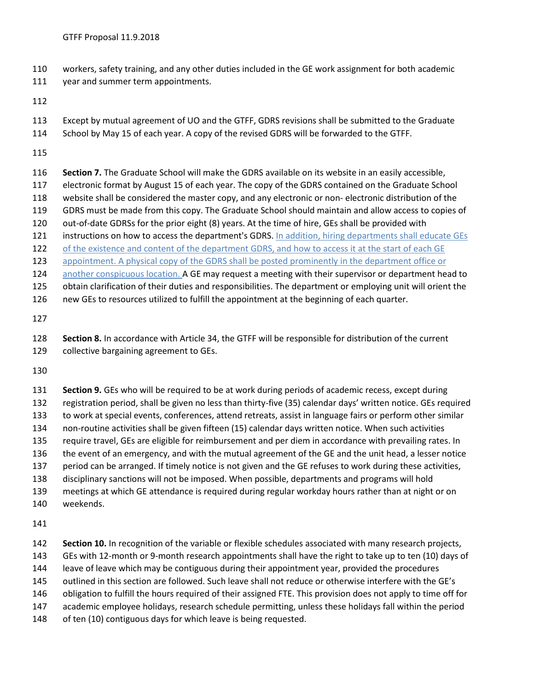- workers, safety training, and any other duties included in the GE work assignment for both academic
- 111 year and summer term appointments.
- 
- Except by mutual agreement of UO and the GTFF, GDRS revisions shall be submitted to the Graduate
- School by May 15 of each year. A copy of the revised GDRS will be forwarded to the GTFF.
- 
- **Section 7.** The Graduate School will make the GDRS available on its website in an easily accessible,
- electronic format by August 15 of each year. The copy of the GDRS contained on the Graduate School
- website shall be considered the master copy, and any electronic or non- electronic distribution of the
- GDRS must be made from this copy. The Graduate School should maintain and allow access to copies of
- out-of-date GDRSs for the prior eight (8) years. At the time of hire, GEs shall be provided with
- 121 instructions on how to access the department's GDRS. In addition, hiring departments shall educate GEs
- 122 of the existence and content of the department GDRS, and how to access it at the start of each GE appointment. A physical copy of the GDRS shall be posted prominently in the department office or
- 124 another conspicuous location. A GE may request a meeting with their supervisor or department head to
- obtain clarification of their duties and responsibilities. The department or employing unit will orient the
- new GEs to resources utilized to fulfill the appointment at the beginning of each quarter.
- 
- **Section 8.** In accordance with Article 34, the GTFF will be responsible for distribution of the current collective bargaining agreement to GEs.
- 
- **Section 9.** GEs who will be required to be at work during periods of academic recess, except during registration period, shall be given no less than thirty-five (35) calendar days' written notice. GEs required to work at special events, conferences, attend retreats, assist in language fairs or perform other similar non-routine activities shall be given fifteen (15) calendar days written notice. When such activities require travel, GEs are eligible for reimbursement and per diem in accordance with prevailing rates. In the event of an emergency, and with the mutual agreement of the GE and the unit head, a lesser notice period can be arranged. If timely notice is not given and the GE refuses to work during these activities, disciplinary sanctions will not be imposed. When possible, departments and programs will hold
- meetings at which GE attendance is required during regular workday hours rather than at night or on weekends.
- 
- **Section 10.** In recognition of the variable or flexible schedules associated with many research projects, GEs with 12-month or 9-month research appointments shall have the right to take up to ten (10) days of leave of leave which may be contiguous during their appointment year, provided the procedures outlined in this section are followed. Such leave shall not reduce or otherwise interfere with the GE's obligation to fulfill the hours required of their assigned FTE. This provision does not apply to time off for academic employee holidays, research schedule permitting, unless these holidays fall within the period 148 of ten (10) contiguous days for which leave is being requested.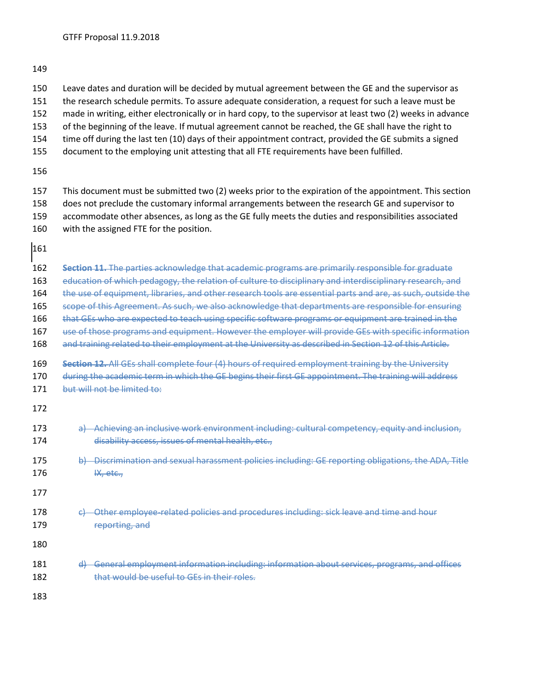- Leave dates and duration will be decided by mutual agreement between the GE and the supervisor as
- the research schedule permits. To assure adequate consideration, a request for such a leave must be
- made in writing, either electronically or in hard copy, to the supervisor at least two (2) weeks in advance
- of the beginning of the leave. If mutual agreement cannot be reached, the GE shall have the right to
- time off during the last ten (10) days of their appointment contract, provided the GE submits a signed
- document to the employing unit attesting that all FTE requirements have been fulfilled.

 This document must be submitted two (2) weeks prior to the expiration of the appointment. This section does not preclude the customary informal arrangements between the research GE and supervisor to accommodate other absences, as long as the GE fully meets the duties and responsibilities associated with the assigned FTE for the position.

 **Section 11.** The parties acknowledge that academic programs are primarily responsible for graduate education of which pedagogy, the relation of culture to disciplinary and interdisciplinary research, and 164 the use of equipment, libraries, and other research tools are essential parts and are, as such, outside the scope of this Agreement. As such, we also acknowledge that departments are responsible for ensuring 166 that GEs who are expected to teach using specific software programs or equipment are trained in the use of those programs and equipment. However the employer will provide GEs with specific information and training related to their employment at the University as described in Section 12 of this Article. **Section 12.** All GEs shall complete four (4) hours of required employment training by the University 170 during the academic term in which the GE begins their first GE appointment. The training will address 171 but will not be limited to: a) Achieving an inclusive work environment including: cultural competency, equity and inclusion, **disability access, issues of mental health, etc.**, b) Discrimination and sexual harassment policies including: GE reporting obligations, the ADA, Title IX, etc., 178 c) Other employee-related policies and procedures including: sick leave and time and hour 179 reporting, and d) General employment information including: information about services, programs, and offices 182 that would be useful to GEs in their roles.